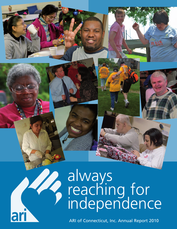# always reaching for independence

ARI of Connecticut, Inc. Annual Report 2010

ar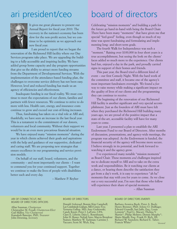

It gives me great pleasure to present our Annual Report for fiscal year 2010. The recovery in the nations's economy has been slow for the non-profit sector, but we continue to be optimistic as we approach our new fiscal year.

I am proud to report that we began the renovation of the Richmond Hill facility where our Day Services programs take place. We are upgrading the building to a fully-accessible and inspiring facility. We have added group home capacity and day program opportunities that give us the ability to attract more funding streams from the Department of Developmental Services. With the implementation of the attendance-based funding plan, the challenges to overcome service delivery has not been easy. However, level and reduced funding has made us an agency of efficiencies and effectiveness.

Inadequate funding is our fiscal reality. We must continue to meet the expectations of our clients, families and partners with fewer resources. We continue to strive to do more with less. Health care, energy, and insurance costs continue to grow and exceed our cost-of-living increases.

Thus, fundraising has taken on a vital role at ARI and, thankfully, we have seen an increase in the last fiscal year. This is a testament to the commitment of our donors, volunteers and local community. Without their support we would be in an even more precarious financial situation.

We have enjoyed many "mission moments" during the year in which clients achieved their goals and aspirations with the help and guidance of our supportive, dedicated and caring staff. We are proposing new strategies that ensure excellence in our programming and service provision models.

On behalf of our staff, board, volunteers, and the community – and most importantly our clients – I want to commend you for your continued support. Together we continue to make the lives of people with disabilities better each and every day.

– Matthew P. Reyher

## ari president/ceo board of directors

Celebrating "mission moments" and building a path for the future go hand-in-hand with being the Board Chair. There have been many "moments" that have given me that special "feel-good" feeling, even though so much of my time was spent fundraising and formulating and implementing long- and short-term goals.

The fourth Walk for Independence was such a "moment." Raising over \$100,000 in four short years is a true accomplishment, but seeing the look on the clients' faces added so much more to the experience. Our clients had fun, enjoyed a day in the park, and proudly carried signs in support of their homes and friends.

This past year, the Board tried a different kind of event – our first Comedy Night. With the hard work of the committee and staff, it became one of the agency's most important fundraisers overnight. We found a *fun* way to raise money while making a significant impact on the quality of lives of our clients and the programming they can continue to receive.

The beginning of the renovation of our Richmond Hill facility is another significant and very special accomplishment. Just as the founders of ARI must have felt when they purchased the Richmond Hill building many years ago, we are proud of the positive impact that a state-of-the-art, accessible facility will have for many years to come.

Last year, I presented a plan to establish the ARI Endowment Fund to our Board of Directors. After months of discussion, presentations, and agency-wide meetings, the program was adopted. As the Endowment is funded, the financial security of the agency will become more secure. I believe strongly in its potential, and look forward to watching it and the agency grow.

I've experienced many notable "mission moments" as Board Chair. These moments *and* challenges inspired me to dedicate myself to ARI and to take on the extra work and responsibilities. Be it watching our clients at a dance, or hearing them describe the satisfaction they get from a day's work, it is easy to experience "ah ha" moments that stay with you for years to come. As we close out a very successful year, I'm sure that those who follow will experience their share of special moments.

– Allan Sussman

#### ARI OF CONNECTICUT, INC BOARD OF DIRECTORS OFFICERS

Allan Sussman, *Chairperson* Christopher M. Foxall, *Chairperson-Elect* Gail Malloy, *Vice Chairperson* Kamalesh Banerjee, PhD, *Treasurer* John Downing, *Secretary*

#### BOARD OF DIRECTORS

Donald Axleroad; Bonnie Kim Campbell; Lee Combrinck-Graham, MD; Ginny Fox; Vernetta Gallop, MD; Amy Grabowski; Candy Knott; Peter J. LaForte, CPA; Clare E. Liberis; Dara L. Rosenbaum; John D. Russo; Neftali Soto; Marcia Bresslour Staines; Matthew W. Tackman; Carmine J. Vaccaro; Scott M. Wich, Esq.

#### BOARD OF DIRECTORS EMERITI

Barbara Aronica-Buck; Peter A. Buck; Henry Brenner, PhD; Arlene O. DuBiago; Edward Granelli; Sari Jaffe, Esq.; Louis Lotstein\*; Paul G. Macari; Thelma V. Martin\*; Philip Molstre; Dennis Murphy\*; Mario Musilli, Esq.; Frank D. Rich, III; Richard W. Saunders; Richard E. Taber; Francis White\* *\*deceased*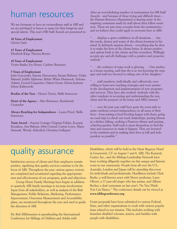### human resources

We are fortunate to have an extraordinary staff at ARI and we are privileged to honor so many for their longevity and special talents. This year's HR Staff Awards are presented to:

### **30 Years of Employment**

Gloria Clark

### **15 Years of Employment**

Elizabeth King; Theresa Brown

### **10 Years of Employment**

Yvette Banks; Joy Henry; Carlette Brisseaux

### **5 Years of Employment**

John Gorcynski; Simone Desvarenes; Bryant Roberts; Vickie Manuel; Judith Alphonse; Robin White-Dimmock; Arleana Adams; Gerard Gasparino; Valerie Ennis; Gloria Jackson; Jolene Kalinowski

**Rookie of the Year** – Hector Torres, Skills Instructor

**Heart of the Agency** – Max Brisseaux, Residential Counselor

**Always Reaching for Independence** – Laura Floyd, Skills Instructor

**Team Award** – Sunrise Cottage (Virginia Foldoe, Kouassi Kouakou, Ann Rabuse, John Conrad, Caston Lowe, Marie Sistrunk, Wendy Aldershof, Christina Gallegos)

After an overwhelming number of nominations for HR Staff Awards – and because of these trying and difficult times – the Human Resource Department is sharing some of the inspiring comments made by staff about their fellow nominees. These are just some excerpts from the nominations – and we believe they could apply to everyone here at ARI!

" . . . displays a quiet confidence in all situations . . . has the needs, desires and wants of the clients foremost in his mind. Is definitely mission-driven – everything that he does is to make the lives of the clients better. Is always positive and upbeat both to the clients and his coworkers. Willingly accepts any and all challenges with a positive and proactive outlook."

" . . . the evidence of team work is glowing . . . One mother, at a house meeting, said that she is at rest knowing the manager and staff are devoted to taking care of her daughter."

" . . . staff members, individually and collectively, were willing to learn new teaching strategies and were patient in the development and implementation of new programs and services. They have also worked tirelessly with the other residents in accepting and understanding the new client and the purpose of the home and ARI's mission."

" . . . over the past year staff have gone the extra mile to assist residents toward independence in all areas of their lives – from joining a local bowling league with them, going on road trips to check out truck dealerships, petting kittens at a shelter, hiking, cooking a Passover dinner and starting a kitchen garden. Staff took it upon themselves to find the time and resources to make it happen. They are invested in the residents and in making their lives as full and independent as possible."

## quality assurance

Satisfaction surveys of clients and their employers remain positive, signifying that quality services continue to be the focus of ARI. Throughout the year, various agency reviews are completed and scrutinized regarding the appropriateness and effectiveness of our programs, goals and objectives.

Group Home Family Meetings have begun in addition to quarterly ARI family meetings to increase involvement. Input from all stakeholders, as well as analysis of the Risk Management, Public Relations, Marketing, Performance Improvement, Outcomes Measurement and Accessibility plans, are monitored throughout the year and used to guide the direction of ARI.

Dr. Bob DiDomenico is spearheading the International Conference for Siblings of Children and Adults with

Disabilities, which will be held at the Hyatt Regency Hotel in Greenwich, CT on August 7 and 8. ARI, The Kennedy Center, Inc., and the Siblings Leadership Network have been working diligently together on this unique and historic event in our community. People from all over the U.S., Australia, London and Japan will be attending this event for individuals and professionals. Headliners include Chris Burke, a well-known actor with Down syndrome, Larry Oliveri, a 17-year-old singer who has autism, and Allison Becker, a deaf contestant on last year's "So You Think You Can Dance." The conference details can be viewed at **www.siblingconference.org**.

Grant proposals have been submitted to various Federal, State, and other organizations to work with various populations related to our mission. This includes working with homeless disabled veterans, seniors, and families with people with disabilities.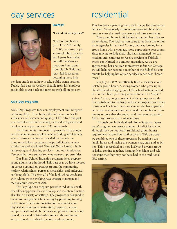### day services residential



### **Success!**

#### **"I can do it on my own!"**

Nefi has long been a part of the ARI family. In 2005, he started a job at Stop & Shop. For the last 4 years Nefi relied on staff members to transport him to and from his job. This past year Nefi focused on becoming more inde-

pendent and learned how to take public transportation. Today, Nefi gets his weekly schedule from his employer and is able to get back and forth to work all on his own.

### **ARI's Day Programs**

ARI's Day Programs focus on employment and independent living skills. These basic skills influence one's selfsufficiency, self-esteem and quality of life. Over this past year we delivered skills training, career development and employment opportunities to 131 individuals.

The Community Employment program helps people work in competitive employment by finding and keeping jobs. Extensive training is provided on the job site. Long-term follow-up support helps individuals remain productive and employed. The ARI Work Crews – both landscaping and cleaning services – and our Production Center offer more supervised employment opportunities.

Our High School Transition program helps prepare young adults for adulthood. This past year we have focused on career exploration, getting around the community, healthy relationships, personal social skills, and independent living skills. This year all of the high school graduates with whom we are working have chosen to remain and receive adult services at ARI.

The Day Options program provides individuals with disabilities opportunities to develop and maintain functional skills in a variety of settings. The program is designed to maximize independent functioning by providing training in the areas of self-care, socialization, communication, physical and emotional maturation, cognitive, leisure, and pre-vocational skills. Services are provided to develop valued, non-work related adult roles in the community and are based on individual choice and preference.

This has been a year of growth and change for Residential Services. We regularly assess our services and how those services meet the needs of current and future residents.

Our group home in Ridgefield expanded from five to six residents. The sixth person came to us from one of our sister agencies in Fairfield County and was looking for a group home with a younger, more appropriate peer group. Since moving to Ridgefield, she has maintained her connections and continues to receive services in Fairfield – which contributed to a smooth transition. As we are approaching her one-year anniversary at Sunrise Cottage, we will help her become a member of the Ridgefield community by helping her obtain services in her new "hometown."

On July 1, 2009, we officially filled a vacancy at our Lotstein group home. A young woman who grew up in Stamford and was aging out of the school system, moved in – we had been providing services to her in a 'respite' status. As the youngest resident of the group home, she has contributed to the lively, upbeat atmosphere and views Lotstein as her home. Since moving in, she has expanded her verbal communication, increased the number of community outings that she enjoys, and has begun attending ARI's Day Program on a regular basis.

Through our Individualized Home Supports (apartment) program, we serve a number of individuals who, although they do not live in traditional group homes, require twenty-four hour staff supports. This past year, we combined two of these programs by renting a twofamily house and having the women share staff and activities. This has resulted in a very lively and diverse group of ladies coming together, forming friendships and relationships that they may not have had in the traditional IHS setting.

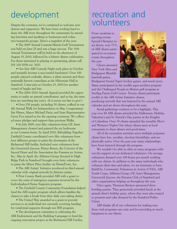donors and supporters. We have been working hard to share the ARI story throughout the community by attending functions and speaking to businesses and volunteer/nonprofit groups. Here's a snapshot of the year:

• The 2009 Annual Lotstein/Martin Golf Tournament was held on June 25 and was a huge success. The 15th Annual Tournament will be held on the afternoon of August 19, 2010, followed by a lobster dinner celebration. For those interested in playing or sponsoring, please call 203 324-9258 ext. 3023.

• Our first ARI Comedy Night took place in October and instantly became a succcessful fundraiser! Over 100 people enjoyed cocktails, dinner, a silent auction and three nationally-known comedians at the Hibernian Hall in Stamford. Come join us October 23, 2010 for another round of laughs and fun.

• The 2009–2010 Annual Appeal provided the opportunity to make an annual contribution, and so far, the numbers are matching last year's. (It is never too late to give!)

• Over 250 people, including 50 clients, walked in our 4th Annual Walk for Independence in May. Congressman Jim Himes, Mayor Michael Pavia, and State Representative Gerry Fox joined us for the opening ceremony. We collected more pledges and support than previous Walks.

• In July 2009, over fifty volunteers from GE Asset Management cleaned and painted the six bedrooms at our Lotstein home. In April 2010, Rebuilding Together Fairfield County coordinated over fifty volunteers from four different groups to paint the downstairs of the Richmond Hill facility. Included were volunteers from the Greenwich Jaycees, Pitney Bowes, the Convent of the Sacred Heart and the Association des Femmes en Action, Inc. Also in April, the Affinion Group (located in High Ridge Park in Stamford) brought over forty volunteers to paint the Minor Place facility via HomeFront, Inc.

• The ARI Artists' Initiative produced its third annual calendar with original artwork by thirteen artists.

• First County Bank provided ARI with a grant to cover the costs of emergency expenses incurred by the Individualized Home Supports program.

• The Fairfield County Community Foundation helped fund the ARI respite program which allows families the chance to take a break from their daily care-taking duties.

• The United Way awarded us a grant to provide services to an individual not currently receiving funding for residential supports through our IHS program.

• The development committee is cultivating the ARI Endowment and the Building Campaign to fund the ongoing renovation project at the Richmond Hill Facility.

### development recreation and Despite the economy, we've continued to welcome new  $\blacksquare$  volunteers

From vacations to sporting events, Special Olympics to art shows, over 75% of ARI clients participated in recreation events throughout the year.

Clients attended New York Mets and Bridgeport Bluefish baseball games,



Bridgeport Sound Tigers hockey games, and much more. Many participated in the weekly aqua-aerobics program and the Challenged People in Motion golf program at Sterling Farms Golf Course. Twenty clients participate weekly in the ARI Artists Initiative classes, producing artwork that was featured in the annual ARI calendar and art shows throughout the state.

Social gatherings continue to be a highlight. This year over 80 ARI clients attended the Halloween, Holiday, Valentine's and St. Patrick's Day parties at the Knights of Columbus. Over 30 clients attended the monthly Men's and Women's Nights Out where clients meet at local restaurants to share dinner and good times.

All of the recreation activities serve multiple purposes; clients have fun, socialize, develop friendships, and are physically active. Over the past year many relationships have been fostered through the program.

We wouldn't be able to offer so many programs without the support of our dedicated volunteers. On average, volunteers donated over 100 hours per month working with our clients. In addition to the many individuals who volunteer their time and talent, we are fortunate to have BuildOn, Community Volunteers in Action (CVIA), ARI Youth Corps, Affinion Group, GE Asset Management, Greenwich Jaycees, the Kiwanis Club of Stamford and other organizations helping us throughout the year.

Once again, Thomson Reuters sponsored three bowling parties. They generously provided lunch at the annual client's holiday party, where they were also treated to presents and cake donated by the Stamford Police Union.

ARI thanks all of our volunteers for making sure these vital programs can exist and for providing so much happiness to our clients.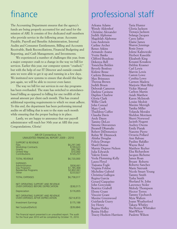## finance

The Accounting Department ensures that the agency's funds are being properly accounted for and used for the mission of ARI. It consists of five dedicated staff members who provide service in the following areas: Accounts Payable, Payroll and Benefits Administration, Internal Audits and Consumer Entitlements, Billing and Accounts Receivable, Bank Reconciliations, Financial Budgeting and Reporting, and Cash Management, and Investments.

We experienced a number of challenges this year, from a major computer crash to a change in the way we bill for services. Earlier this year, our computer system "crashed," but with the help of our IT Director and outside consultants we were able to get it up and running in a few days. We instituted new systems to ensure that should this happen again, we will be able to recover even faster.

The way we bill for our services in our day programs has been overhauled. The state has switched to attendancebased billing as opposed to billing for one twelfth of the annual amount per client each month. This has created additional reporting requirements to which we must adhere. To this end, the department has been performing internal audits on all billing that is sent to the state each month while ensuring that the proper backup is in place.

Lastly, we are happy to announce that our payroll administrator will reach her 30th year at ARI this year. Congratulations, Gloria!

| ARI Of Connecticut, Inc.<br>UNAUDITED FINANCIAL REPORT 2009 - 2010 |  |
|--------------------------------------------------------------------|--|
| \$6,297,340<br>\$199,623<br>\$92,780<br>\$10,000<br>\$120,257      |  |
| \$6,720,000                                                        |  |
| \$936,661<br>\$1,785,468<br>\$3,802,061<br>\$233,827               |  |
| \$6,758,017                                                        |  |
| $($ \$38,017)<br>\$176,855                                         |  |
|                                                                    |  |
| ( \$214, 872)                                                      |  |
| \$175,188                                                          |  |
| $($ \$39,684)                                                      |  |
|                                                                    |  |

The financial report presented is an unaudited report. The audit for the fiscal year 2010 will be completed by October 15, 2010.

## professional staff

Arleana Adams Wendy Aldershof Christine Alexander Judith Alphonse Magdelah Alphonse Lisa Anderson Carline Archer Renee Atkins Armando Azana Yvette Banks Clifford Beauleau Dekenya Bell Toneichia Bolden Beverly Bonfoey Kislene Bosse Carlette Brisseaux Max Brisseaux Theresa Brown Judith Bruen Deborah Cameron Darlene Caviness Daphne Charlow Gloria Clark Willie Clark John Conrad Mary Cook Thaddeus Cuffee Claudia Davis Andy Dayes Tammy DeLeo Simone Desvarenes Jheanell Dhamalie Robert DiDomenico Robin W. Dimmock Ahisha Douglas Felicia Drungo Sharil Dumas Marnie Dupree-Nelson Julia Edwards Valerie Ennis Veola Flemming-Kelly Laura Floyd Tiajuana Fogle Virginia Foldoe Micheline Gabriel Christina Gallegos Regina Garcia Gerard Gasparino John Gorcynski Beatrice Grabell Ebony Grant Vincent Grant Maxine Greenwood Guirlanda Guery Joy Henry Regina Holley Renita Holley Tracey Hudson-Harrison Taria Hunter Gloria Jackson Tionaya Jackson Solange Jacques Carey Jaffee Elaine James Sharon Jennings Rosie Jones Jolene Kalinowski Herbert Kasedde Elizabeth King Kouassi Kouakou Debbie Krasner Carl Lewis Marvin Lewis Caston Lowe Cynthia Lowe Carmen Madera Marjorie Mair-Riley Vickie Manual Carlton Martin Asiah Matthew Karen McIntosh Louise Medoit Maxine Mereigh Tanika Miller Yolanda Morales Sheldon Morrison Sherri Norwood Jacinth Nugent Audrey Owens Emily Piatak Nanotte Pierre Octavia Pollard Ann Rabuse Pauline Rafalko Wayne Reid Matthew Reyher Elsa Richardson Jacques Richeme James Roan Bryant Roberts Roberto Sanchez Marie Sistrunk Nicole Smart-Young Tammy Smith Tysha Smith Sherland St. John Lawrence Stoler Melody Thompson Hector Torres Tammy Upchurch Myia Walters Joann Weatherford Takara Whitley Sha'Kenya Whittaker MattWhyte Paulette Wilson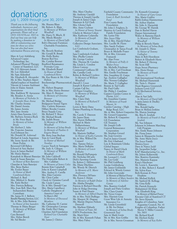### donations july 1, 2009 through june 30, 2010

*Thank you to the following individuals, businesses and organizations for their kind generosity. Please call us at (203) 324-9258,ext. 3023 to find out how you can help by making a donation to ARI or volunteering your time for those we serve. You can also find more information @www.arict.org.*

Marc & Lori Adelsberg Advanced Copier Technology, Inc. Advanced Physical Therapy Center of Stamford, LLC Mr. S O Akiwumi-Assani Mr. Lee Aldershof Mr. Sam Aldershof Ms. Elizabeth R. Alexander Mr. & Mrs. Stephen Alpert AlphaGraphics of Stamford Vincent & Lurana Andrisani John & Elaine Annick Anonymous Mrs. Kathleen W. Apruzzese Ms. Rosalyn A. Arena *In Memory of Nicholas Sr. & Jennifer Rose Arena* Mr. Charles Arestia Mr. Daniel Arestia Mr. James Arestia Mrs. Jane Arestia Aristo Data Systems, LLC. Ms. Barbara Aronica-Buck & Mr. Peter Buck *In Memory of Selma Brody* Mr. Herbert J. Ashe Ms. Francine Assenza Axel Johnson Inc. Mr. Donald M. Axleroad Michael & Linda Avgerinos Ms. Irene Ayoub & Mr. Dean Pedon Reverend Gill Babeu Edward & Sary Backer Joyce & James Backiel Mr. Henry Baietto Kamalesh & Bharati Banerjee Mr. John Caldwell Sunil & Susan Banerjee *In Honor of Rini Banerjee* Chandan & Sara Banerjee Mrs. Betsy Barker Ms. Evelyn Bauer *In Honor of Mark Combrinck-Hertz* Michael A. Beal Mrs. Mildred A. Beattie Ms. Katie Becker Mrs. Patricia Belknap Mrs. Joan Bell, Mary Kay Independent Beauty Consultant Ms. Janna H. J. Bellwin Benefit Planning Services, LLC Mr. & Mrs. John Benison *In Honor of Jim Saunders* Thomas & Diane Berger *In Memory of William Woodhall* Cara Bernard Mrs. Helen Biordi Mr. Sid Binder

Ms. Shauna Blaze Mr. Robert A. Blain *In Memory of William Woodhall* Mr. Harry N. Bloch, II Ms. Mindy Blonder *In Memory of David Jaffe* Bob's Discount Furniture Charitable Foundation, Inc. Ms. Beverly Bonfoey Mr. Gerald R. Bosak Ms. Holly Bosley Boston Red Sox Ms. Cynthia Bowser Bradford Renaissance Portraits Corp. Ms. Elizabeth Brand *In Honor of Mark Combrinck-Hertz* Ms. Kay Branz & Mr. Glen Hylton Breckenridge Pharmaceutical, Darrell J. Croot Inc. Mr. Hebert Bregman Mr. & Mrs. Henry Brenner Ms. Mary E. Brenner *In Memory of Christine Brenner* Mr. Michael Bridge Bridgeport Sound Tigers Mrs. Carlette Brisseaux Hillary Brooke Creates Bruce Supply Corp. Mr. Richard T. Bruce Mr. Michael Bruzik Ms. Judith Bruen *In Memory of William Woodhall In Memory of Selma Brody In Memory of Pauline & Eugene Bruen* Ms. Betty Jean Buchan Tom & Carol Bunk *In Honor of Michael Tosolini* Cacace Tusch & Santagata Ms. Judy A. Cilirgos *In Memory of William Woodhall* The Honorable Robert & Mrs. Callahan *In Memory of James Coley* Bonnie Kim Campbell John & Karen Campbell Mrs. Audrey E. Carella Mrs. Elsie Carretto Mr. Chris Carlin Chuck & Christine Carroll Ms. Cindy Carson Dr. & Mrs. Donald Case Mrs. Maria Castellucci Catholic Daughters of America Court of St.Mary's #82 *In Memory of Deceased Members* Ms. Catherine H. Catrini Mr. Christopher Catropa Ms. Emily Hui Chang Charities Aid Foundation *Richard Gee Charitable Trust* Mr. James J. Chirico

Mr. Anthony Ciaraldi Theresa & Joseph Cipolla Joseph & Janice Claps Maureen & Ed Clark Mrs. Gloria Clark Mrs. Anne Cochran *In Honor of Sonny Yazami* Gladys & Morton Cohen Mrs. Kathryne Colatrella *In Memory of Joseph DeFrancesco* Collective Design Associates, LLC Lee Combrinck-Graham, MD Jane Combrinck-Graham Mrs. Phyllis Comrie Mr. George Conboy Mrs. Theresa M. Condon Ms. Linda L. Condon Eileen Conway Continental Coiffures III Ms. Camilla Cook Robin & Richard Cordero *In Memory of William Woodhall* Joseph & Karen Cubbellotti Curtain Call Inc. 3D Paper Graphics *In Memory of William Woodhall* Mrs. Claire Daly *In Memory of Richard F. Daly, Sr.* Lewis & Betty Dana Darien Plumbing & Heating Inc. Ms. Carole T. Dawson Mr. James Dean Mrs. Karen DeBartolo Michael & Marie DeBartolomeo *In Memory of William Woodhall* Ms. Marjorie DeBlasi *In Honor of Kathy Carretto* Mr. & Mrs. Wilfred De Cossard Mrs. Tammy DeLeo Mrs. Marie DeRubis *In Memory of Lewis DeRubis* Mr. Ronald DePompeis Mr. Nicholas DiCarlo Dick's Sporting Goods Dr. Robert J. DiDomenico Ms. Diane Dischino Ms. Wendy M. Dittrich *In Memory of E. Marie Anderson* Mrs. Florence DiVasto Ms. Karen J. Dolan *In Memory of Ralph Dolan* Ms. Ahisha Douglas Patricia & Richard Douville John & Helga Downing Susan & Paul Duarte *In Memory of Alfred Duarte* Mr. & Mrs. Nick DuBiago Ms. Margret M. Duguay Ms. Marnie Dupree-Nelson Duracell Ms. Marliese Elshazly *In Honor of Fajaz Ali* ESPN Productions, Inc. Ms. Marti Etter Mr. & Mrs. Kenneth Fahan Mrs. Mary Fahey

Mrs. Mary Churley

Fairfield County Community Dr. Kenneth Grossman Foundation *Louis & Ruth Sternbach Fund* First County Bank Foundation Mr. John J. Feighery, Jr. Maurice & Carol Feinberg Family Foundation Ms. Lynne Fife Mrs. Joyce Filip Mr. & Mrs. Harold Fisher Mrs. Lucille M. Flynn Mrs. Sandy Forlano Christopher & Tanya Foxall Bruce & Michelle Fraser Mr. & Mrs. Giovanni Frattaroli Mr. Alan Frese *In Memory of Polly & Walter Frese* Ms. Michelle Friedman Mr. & Mrs. Carl Friedman Mrs. Estelle Fruchtman Mrs. Josephine H. Gaipa Sgt. Andrew Gallagher Mrs. Noreen Gallagher Ms. Marie T. Gallagher Bonnie & Tad Gallo Mr. Paul Gallo Mr. Philip J. Gambino Ganim's Garden Center & Florist, LLC Ms. Josephine Ganino *In Memory of Frank Macari, Sr.* Garden Catering – High Ridge Road, LLC Mr. & Mrs. Robert Gasparino Ms. Sharon Jennings Mr. Gerard Gasparino Mr. Robert R. Gasparino GE Foundation GE Treasury Mr. Joseph Gelb General Reinsurance Corporation Mr. Stephen Gerard Ms. Joan Gewirtz Paul & Janice Ginotti Mr. Eric Glasband Lou & Rosemarie Glinka Global Impact Nancy & David Gluck *In Honor of Mark Combrinck-Hertz* Mr. Leonard C. Gold Mr, Leo Gold Mr. Phil Goldberg Louise Goldenberg Mr. James Goldsmith Edward & Wendy Gomez Mr. John Gorcynski *In Memory of Michael Franze In Memory of Mary Sanders* Mr. Michael Kellick *In Memory of Adeline Garcia* Mrs. Beatrice Grabell Joseph and Patty Grabiec Mrs. Clara Grande Mr. Victor Grann Mrs. Harriett Gray Great West Life & Annuity Insurance Co. Ms. Linda Greenfield & Mr. Ira Deinst *In Memory of Selma Brody* Greenwich Taxi Jane & Mark Grein Mr. & Mrs. Ken Griffin Dr. & Mrs. Steven Grossman

*In Honor of Gary Grove* Mrs. Marie Guiffra Rabbi Joshua Hammerman Mr. Arthur Hanlon Ms. Julie A. Harazduk Mr. George W. Harnik Dan & Rachel Haron Harper International Walter & Ramona Hatch *In Memory of William Woodhall* Philip & Beverly Hattis *In Memory of Selma Body* Mr. Joseph G. Henn *In Honor of Tommy Gallagher* Mary & Rob Henrikson Robert & Elizabeth Hertz Mr. Robert P. Herzog Mr. Scott Hill Hope Street Pharmacy Mrs. Doris Horan *In Memory of Frank Macari, Sr.* Hub International Northeast Mr. Michael Humeniuk Ms. Taria L. Hunter Hyatt Regency Greenwich Jackson Lewis LLP J&A Mechanical Services, LLC. Alan & Sari Jaffe *In Memory of David Jaffe* Juanita James & Dudley Williams Mrs. Ronald Japha Brian & Melissa Jenkins Ms. Rita E. Jerabek *In Memory of Frank & Paul Jerabek* Ms. Sue Johnson Johnson & Johnson Matching Gift Program Mrs. Emily Russo Johnson Ms. Fiona Jones James & Marguerite Jordan Ms. Anne Marie Joyce The Joyce Family Monica Joyce Dave & Nancy Judd Ms. Jacqueline Judge KAF Manufacturing Co., Inc. Ms. Jolene Kalinowski Mrs. Beatrice Kaminsky Mrs. Marjorie Kappas Karp's Hardware Mr. Lewis L. Kasowitz Mr. & Mrs. Robert J. Katzeff Ms. Sylvia Kaye Beth Keenan & Peter Hopkins Mr. Sanford M. Kellogg Ms. Gina Kelly Mr. Patrick Kennedy Muhammed Ali Khan Mrs. Elizabeth King *In Memory of Michael Franze* Kiwanis Club of Stamford CT Mr. Steve Kinsola Knights of Columbus, Saint Augustine Council, No. 41 Knights of Columbus, Father Myron V. Miller Council, No. 5833 Mr. Richard Knoll Mr. Herbert Kohn *In Memory of Kay Kohn*